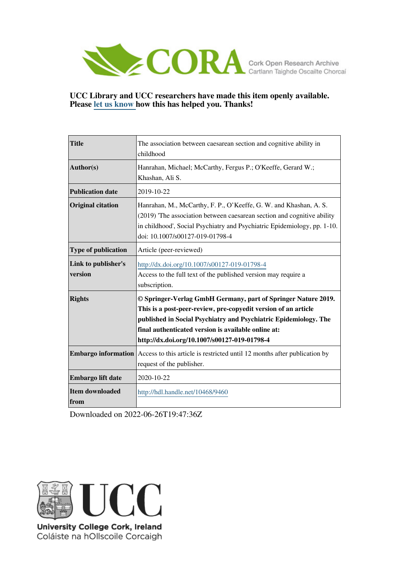

#### **UCC Library and UCC researchers have made this item openly available. Please [let us know h](https://libguides.ucc.ie/openaccess/impact?suffix=9460&title=The association between caesarean section and cognitive ability in childhood)ow this has helped you. Thanks!**

| <b>Title</b>                   | The association between caesarean section and cognitive ability in<br>childhood                                                                                                                                                                                                                            |
|--------------------------------|------------------------------------------------------------------------------------------------------------------------------------------------------------------------------------------------------------------------------------------------------------------------------------------------------------|
| Author(s)                      | Hanrahan, Michael; McCarthy, Fergus P.; O'Keeffe, Gerard W.;<br>Khashan, Ali S.                                                                                                                                                                                                                            |
| <b>Publication date</b>        | 2019-10-22                                                                                                                                                                                                                                                                                                 |
| <b>Original citation</b>       | Hanrahan, M., McCarthy, F. P., O'Keeffe, G. W. and Khashan, A. S.<br>(2019) The association between caesarean section and cognitive ability<br>in childhood', Social Psychiatry and Psychiatric Epidemiology, pp. 1-10.<br>doi: 10.1007/s00127-019-01798-4                                                 |
| Type of publication            | Article (peer-reviewed)                                                                                                                                                                                                                                                                                    |
| Link to publisher's<br>version | http://dx.doi.org/10.1007/s00127-019-01798-4<br>Access to the full text of the published version may require a<br>subscription.                                                                                                                                                                            |
| <b>Rights</b>                  | © Springer-Verlag GmbH Germany, part of Springer Nature 2019.<br>This is a post-peer-review, pre-copyedit version of an article<br>published in Social Psychiatry and Psychiatric Epidemiology. The<br>final authenticated version is available online at:<br>http://dx.doi.org/10.1007/s00127-019-01798-4 |
| <b>Embargo information</b>     | Access to this article is restricted until 12 months after publication by<br>request of the publisher.                                                                                                                                                                                                     |
| Embargo lift date              | 2020-10-22                                                                                                                                                                                                                                                                                                 |
| Item downloaded<br>from        | http://hdl.handle.net/10468/9460                                                                                                                                                                                                                                                                           |

Downloaded on 2022-06-26T19:47:36Z



University College Cork, Ireland Coláiste na hOllscoile Corcaigh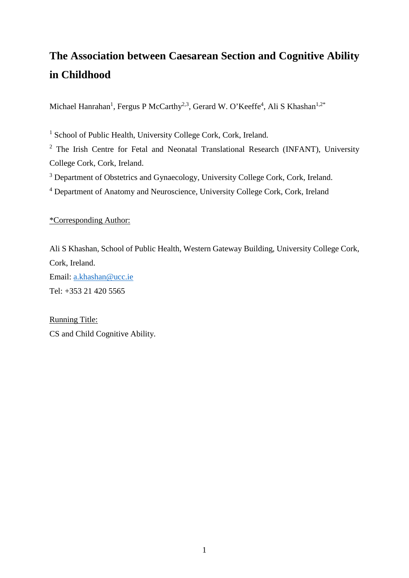# **The Association between Caesarean Section and Cognitive Ability in Childhood**

Michael Hanrahan<sup>1</sup>, Fergus P McCarthy<sup>2,3</sup>, Gerard W. O'Keeffe<sup>4</sup>, Ali S Khashan<sup>1,2\*</sup>

<sup>1</sup> School of Public Health, University College Cork, Cork, Ireland.

<sup>2</sup> The Irish Centre for Fetal and Neonatal Translational Research (INFANT), University College Cork, Cork, Ireland.

<sup>3</sup> Department of Obstetrics and Gynaecology, University College Cork, Cork, Ireland.

<sup>4</sup> Department of Anatomy and Neuroscience, University College Cork, Cork, Ireland

\*Corresponding Author:

Ali S Khashan, School of Public Health, Western Gateway Building, University College Cork, Cork, Ireland. Email: [a.khashan@ucc.ie](mailto:a.khashan@ucc.ie) Tel: +353 21 420 5565

Running Title: CS and Child Cognitive Ability.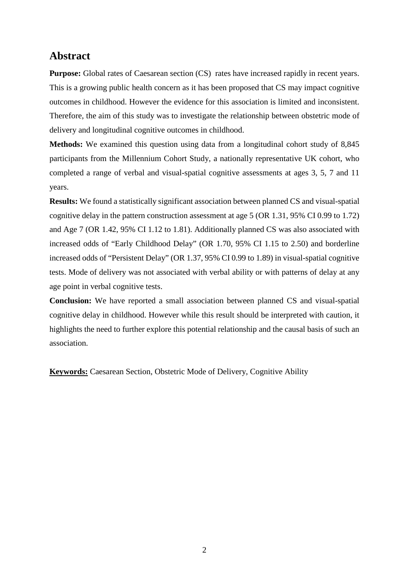## **Abstract**

**Purpose:** Global rates of Caesarean section (CS) rates have increased rapidly in recent years. This is a growing public health concern as it has been proposed that CS may impact cognitive outcomes in childhood. However the evidence for this association is limited and inconsistent. Therefore, the aim of this study was to investigate the relationship between obstetric mode of delivery and longitudinal cognitive outcomes in childhood.

**Methods:** We examined this question using data from a longitudinal cohort study of 8,845 participants from the Millennium Cohort Study, a nationally representative UK cohort, who completed a range of verbal and visual-spatial cognitive assessments at ages 3, 5, 7 and 11 years.

**Results:** We found a statistically significant association between planned CS and visual-spatial cognitive delay in the pattern construction assessment at age 5 (OR 1.31, 95% CI 0.99 to 1.72) and Age 7 (OR 1.42, 95% CI 1.12 to 1.81). Additionally planned CS was also associated with increased odds of "Early Childhood Delay" (OR 1.70, 95% CI 1.15 to 2.50) and borderline increased odds of "Persistent Delay" (OR 1.37, 95% CI 0.99 to 1.89) in visual-spatial cognitive tests. Mode of delivery was not associated with verbal ability or with patterns of delay at any age point in verbal cognitive tests.

**Conclusion:** We have reported a small association between planned CS and visual-spatial cognitive delay in childhood. However while this result should be interpreted with caution, it highlights the need to further explore this potential relationship and the causal basis of such an association.

**Keywords:** Caesarean Section, Obstetric Mode of Delivery, Cognitive Ability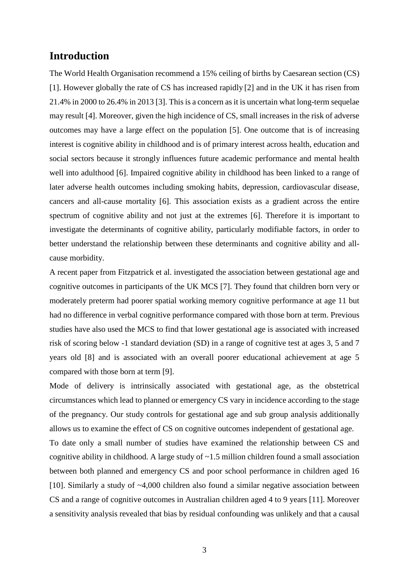### **Introduction**

The World Health Organisation recommend a 15% ceiling of births by Caesarean section (CS) [1]. However globally the rate of CS has increased rapidly [2] and in the UK it has risen from 21.4% in 2000 to 26.4% in 2013 [3]. This is a concern as it is uncertain what long-term sequelae may result [4]. Moreover, given the high incidence of CS, small increases in the risk of adverse outcomes may have a large effect on the population [5]. One outcome that is of increasing interest is cognitive ability in childhood and is of primary interest across health, education and social sectors because it strongly influences future academic performance and mental health well into adulthood [6]. Impaired cognitive ability in childhood has been linked to a range of later adverse health outcomes including smoking habits, depression, cardiovascular disease, cancers and all-cause mortality [6]. This association exists as a gradient across the entire spectrum of cognitive ability and not just at the extremes [6]. Therefore it is important to investigate the determinants of cognitive ability, particularly modifiable factors, in order to better understand the relationship between these determinants and cognitive ability and allcause morbidity.

A recent paper from Fitzpatrick et al. investigated the association between gestational age and cognitive outcomes in participants of the UK MCS [7]. They found that children born very or moderately preterm had poorer spatial working memory cognitive performance at age 11 but had no difference in verbal cognitive performance compared with those born at term. Previous studies have also used the MCS to find that lower gestational age is associated with increased risk of scoring below -1 standard deviation (SD) in a range of cognitive test at ages 3, 5 and 7 years old [8] and is associated with an overall poorer educational achievement at age 5 compared with those born at term [9].

Mode of delivery is intrinsically associated with gestational age, as the obstetrical circumstances which lead to planned or emergency CS vary in incidence according to the stage of the pregnancy. Our study controls for gestational age and sub group analysis additionally allows us to examine the effect of CS on cognitive outcomes independent of gestational age.

To date only a small number of studies have examined the relationship between CS and cognitive ability in childhood. A large study of  $\sim$ 1.5 million children found a small association between both planned and emergency CS and poor school performance in children aged 16 [10]. Similarly a study of  $\sim$ 4,000 children also found a similar negative association between CS and a range of cognitive outcomes in Australian children aged 4 to 9 years [11]. Moreover a sensitivity analysis revealed that bias by residual confounding was unlikely and that a causal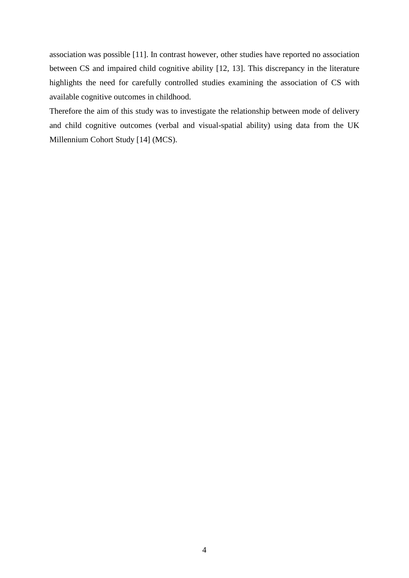association was possible [11]. In contrast however, other studies have reported no association between CS and impaired child cognitive ability [12, 13]. This discrepancy in the literature highlights the need for carefully controlled studies examining the association of CS with available cognitive outcomes in childhood.

Therefore the aim of this study was to investigate the relationship between mode of delivery and child cognitive outcomes (verbal and visual-spatial ability) using data from the UK Millennium Cohort Study [14] (MCS).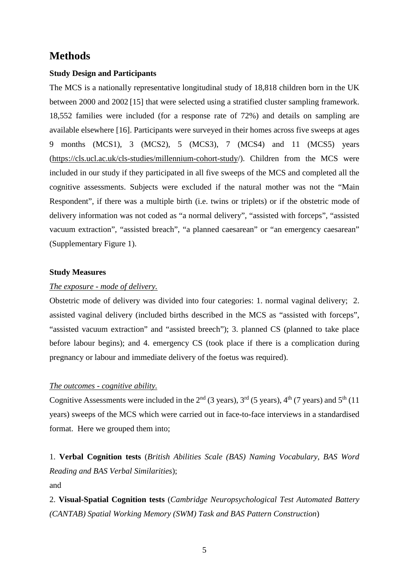## **Methods**

#### **Study Design and Participants**

The MCS is a nationally representative longitudinal study of 18,818 children born in the UK between 2000 and 2002 [15] that were selected using a stratified cluster sampling framework. 18,552 families were included (for a response rate of 72%) and details on sampling are available elsewhere [16]. Participants were surveyed in their homes across five sweeps at ages 9 months (MCS1), 3 (MCS2), 5 (MCS3), 7 (MCS4) and 11 (MCS5) years [\(https://cls.ucl.ac.uk/cls-studies/millennium-cohort-study/](https://cls.ucl.ac.uk/cls-studies/millennium-cohort-study/)). Children from the MCS were included in our study if they participated in all five sweeps of the MCS and completed all the cognitive assessments. Subjects were excluded if the natural mother was not the "Main Respondent", if there was a multiple birth (i.e. twins or triplets) or if the obstetric mode of delivery information was not coded as "a normal delivery", "assisted with forceps", "assisted vacuum extraction", "assisted breach", "a planned caesarean" or "an emergency caesarean" (Supplementary Figure 1).

#### **Study Measures**

#### *The exposure - mode of delivery.*

Obstetric mode of delivery was divided into four categories: 1. normal vaginal delivery; 2. assisted vaginal delivery (included births described in the MCS as "assisted with forceps", "assisted vacuum extraction" and "assisted breech"); 3. planned CS (planned to take place before labour begins); and 4. emergency CS (took place if there is a complication during pregnancy or labour and immediate delivery of the foetus was required).

#### *The outcomes - cognitive ability.*

Cognitive Assessments were included in the  $2<sup>nd</sup>$  (3 years),  $3<sup>rd</sup>$  (5 years),  $4<sup>th</sup>$  (7 years) and  $5<sup>th</sup>$  (11 years) sweeps of the MCS which were carried out in face-to-face interviews in a standardised format. Here we grouped them into;

1. **Verbal Cognition tests** (*British Abilities Scale (BAS) Naming Vocabulary, BAS Word Reading and BAS Verbal Similarities*); and

2. **Visual-Spatial Cognition tests** (*Cambridge Neuropsychological Test Automated Battery (CANTAB) Spatial Working Memory (SWM) Task and BAS Pattern Construction*)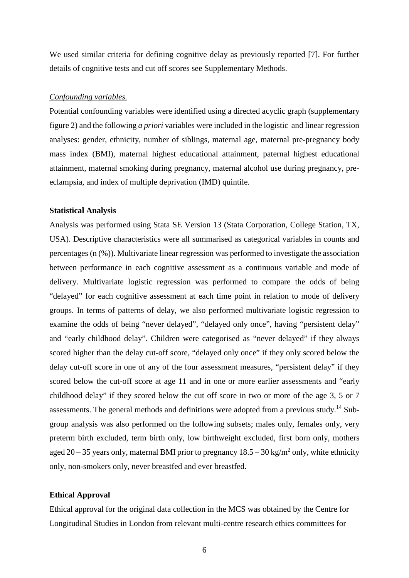We used similar criteria for defining cognitive delay as previously reported [7]. For further details of cognitive tests and cut off scores see Supplementary Methods.

#### *Confounding variables.*

Potential confounding variables were identified using a directed acyclic graph (supplementary figure 2) and the following *a priori* variables were included in the logistic and linear regression analyses: gender, ethnicity, number of siblings, maternal age, maternal pre-pregnancy body mass index (BMI), maternal highest educational attainment, paternal highest educational attainment, maternal smoking during pregnancy, maternal alcohol use during pregnancy, preeclampsia, and index of multiple deprivation (IMD) quintile.

#### **Statistical Analysis**

Analysis was performed using Stata SE Version 13 (Stata Corporation, College Station, TX, USA). Descriptive characteristics were all summarised as categorical variables in counts and percentages (n (%)). Multivariate linear regression was performed to investigate the association between performance in each cognitive assessment as a continuous variable and mode of delivery. Multivariate logistic regression was performed to compare the odds of being "delayed" for each cognitive assessment at each time point in relation to mode of delivery groups. In terms of patterns of delay, we also performed multivariate logistic regression to examine the odds of being "never delayed", "delayed only once", having "persistent delay" and "early childhood delay". Children were categorised as "never delayed" if they always scored higher than the delay cut-off score, "delayed only once" if they only scored below the delay cut-off score in one of any of the four assessment measures, "persistent delay" if they scored below the cut-off score at age 11 and in one or more earlier assessments and "early childhood delay" if they scored below the cut off score in two or more of the age 3, 5 or 7 assessments. The general methods and definitions were adopted from a previous study.<sup>14</sup> Subgroup analysis was also performed on the following subsets; males only, females only, very preterm birth excluded, term birth only, low birthweight excluded, first born only, mothers aged 20 – 35 years only, maternal BMI prior to pregnancy  $18.5 - 30$  kg/m<sup>2</sup> only, white ethnicity only, non-smokers only, never breastfed and ever breastfed.

#### **Ethical Approval**

Ethical approval for the original data collection in the MCS was obtained by the Centre for Longitudinal Studies in London from relevant multi-centre research ethics committees for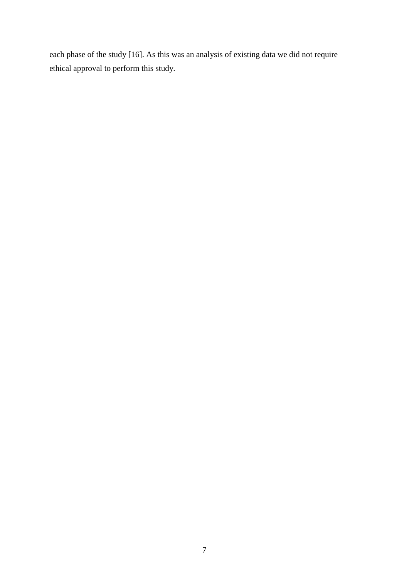each phase of the study [16]. As this was an analysis of existing data we did not require ethical approval to perform this study.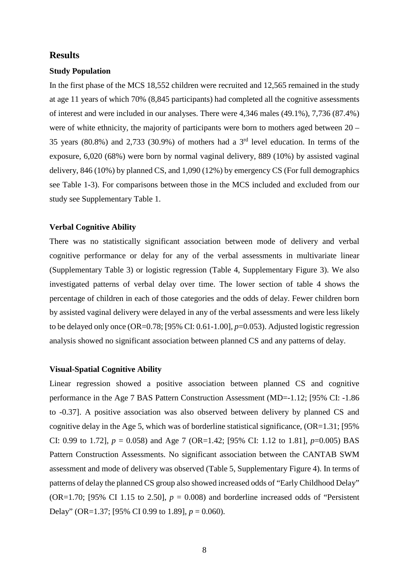#### **Results**

#### **Study Population**

In the first phase of the MCS 18,552 children were recruited and 12,565 remained in the study at age 11 years of which 70% (8,845 participants) had completed all the cognitive assessments of interest and were included in our analyses. There were 4,346 males (49.1%), 7,736 (87.4%) were of white ethnicity, the majority of participants were born to mothers aged between  $20 -$ 35 years (80.8%) and 2,733 (30.9%) of mothers had a 3rd level education. In terms of the exposure, 6,020 (68%) were born by normal vaginal delivery, 889 (10%) by assisted vaginal delivery, 846 (10%) by planned CS, and 1,090 (12%) by emergency CS (For full demographics see Table 1-3). For comparisons between those in the MCS included and excluded from our study see Supplementary Table 1.

#### **Verbal Cognitive Ability**

There was no statistically significant association between mode of delivery and verbal cognitive performance or delay for any of the verbal assessments in multivariate linear (Supplementary Table 3) or logistic regression (Table 4, Supplementary Figure 3). We also investigated patterns of verbal delay over time. The lower section of table 4 shows the percentage of children in each of those categories and the odds of delay. Fewer children born by assisted vaginal delivery were delayed in any of the verbal assessments and were less likely to be delayed only once (OR=0.78; [95% CI: 0.61-1.00], *p*=0.053). Adjusted logistic regression analysis showed no significant association between planned CS and any patterns of delay.

#### **Visual-Spatial Cognitive Ability**

Linear regression showed a positive association between planned CS and cognitive performance in the Age 7 BAS Pattern Construction Assessment (MD=-1.12; [95% CI: -1.86 to -0.37]. A positive association was also observed between delivery by planned CS and cognitive delay in the Age 5, which was of borderline statistical significance,  $(OR=1.31; [95\%$ CI: 0.99 to 1.72],  $p = 0.058$  and Age 7 (OR=1.42; [95% CI: 1.12 to 1.81],  $p=0.005$  BAS Pattern Construction Assessments. No significant association between the CANTAB SWM assessment and mode of delivery was observed (Table 5, Supplementary Figure 4). In terms of patterns of delay the planned CS group also showed increased odds of "Early Childhood Delay" (OR=1.70; [95% CI 1.15 to 2.50],  $p = 0.008$ ) and borderline increased odds of "Persistent" Delay" (OR=1.37; [95% CI 0.99 to 1.89], *p* = 0.060).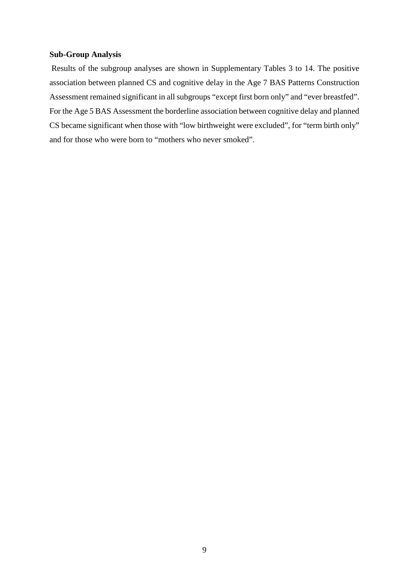#### **Sub-Group Analysis**

Results of the subgroup analyses are shown in Supplementary Tables 3 to 14. The positive association between planned CS and cognitive delay in the Age 7 BAS Patterns Construction Assessment remained significant in all subgroups "except first born only" and "ever breastfed". For the Age 5 BAS Assessment the borderline association between cognitive delay and planned CS became significant when those with "low birthweight were excluded", for "term birth only" and for those who were born to "mothers who never smoked".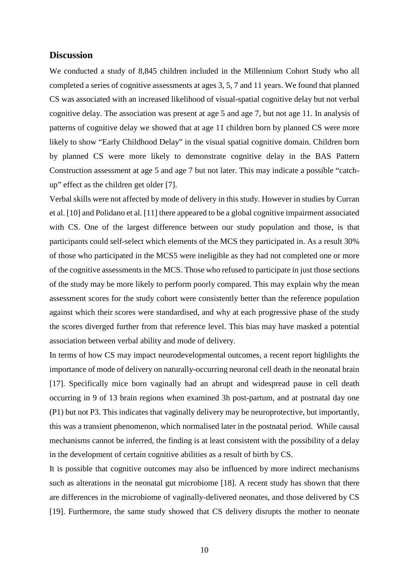#### **Discussion**

We conducted a study of 8,845 children included in the Millennium Cohort Study who all completed a series of cognitive assessments at ages 3, 5, 7 and 11 years. We found that planned CS was associated with an increased likelihood of visual-spatial cognitive delay but not verbal cognitive delay. The association was present at age 5 and age 7, but not age 11. In analysis of patterns of cognitive delay we showed that at age 11 children born by planned CS were more likely to show "Early Childhood Delay" in the visual spatial cognitive domain. Children born by planned CS were more likely to demonstrate cognitive delay in the BAS Pattern Construction assessment at age 5 and age 7 but not later. This may indicate a possible "catchup" effect as the children get older [7].

Verbal skills were not affected by mode of delivery in this study. However in studies by Curran et al. [10] and Polidano et al. [11] there appeared to be a global cognitive impairment associated with CS. One of the largest difference between our study population and those, is that participants could self-select which elements of the MCS they participated in. As a result 30% of those who participated in the MCS5 were ineligible as they had not completed one or more of the cognitive assessments in the MCS. Those who refused to participate in just those sections of the study may be more likely to perform poorly compared. This may explain why the mean assessment scores for the study cohort were consistently better than the reference population against which their scores were standardised, and why at each progressive phase of the study the scores diverged further from that reference level. This bias may have masked a potential association between verbal ability and mode of delivery.

In terms of how CS may impact neurodevelopmental outcomes, a recent report highlights the importance of mode of delivery on naturally-occurring neuronal cell death in the neonatal brain [17]. Specifically mice born vaginally had an abrupt and widespread pause in cell death occurring in 9 of 13 brain regions when examined 3h post-partum, and at postnatal day one (P1) but not P3. This indicates that vaginally delivery may be neuroprotective, but importantly, this was a transient phenomenon, which normalised later in the postnatal period. While causal mechanisms cannot be inferred, the finding is at least consistent with the possibility of a delay in the development of certain cognitive abilities as a result of birth by CS.

It is possible that cognitive outcomes may also be influenced by more indirect mechanisms such as alterations in the neonatal gut microbiome [18]. A recent study has shown that there are differences in the microbiome of vaginally-delivered neonates, and those delivered by CS [19]. Furthermore, the same study showed that CS delivery disrupts the mother to neonate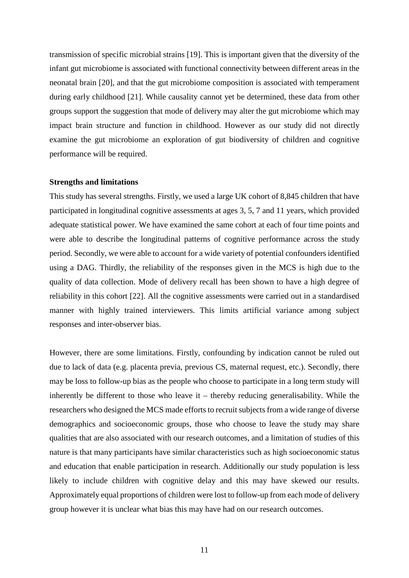transmission of specific microbial strains [19]. This is important given that the diversity of the infant gut microbiome is associated with functional connectivity between different areas in the neonatal brain [20], and that the gut microbiome composition is associated with temperament during early childhood [21]. While causality cannot yet be determined, these data from other groups support the suggestion that mode of delivery may alter the gut microbiome which may impact brain structure and function in childhood. However as our study did not directly examine the gut microbiome an exploration of gut biodiversity of children and cognitive performance will be required.

#### **Strengths and limitations**

This study has several strengths. Firstly, we used a large UK cohort of 8,845 children that have participated in longitudinal cognitive assessments at ages 3, 5, 7 and 11 years, which provided adequate statistical power. We have examined the same cohort at each of four time points and were able to describe the longitudinal patterns of cognitive performance across the study period. Secondly, we were able to account for a wide variety of potential confounders identified using a DAG. Thirdly, the reliability of the responses given in the MCS is high due to the quality of data collection. Mode of delivery recall has been shown to have a high degree of reliability in this cohort [22]. All the cognitive assessments were carried out in a standardised manner with highly trained interviewers. This limits artificial variance among subject responses and inter-observer bias.

However, there are some limitations. Firstly, confounding by indication cannot be ruled out due to lack of data (e.g. placenta previa, previous CS, maternal request, etc.). Secondly, there may be loss to follow-up bias as the people who choose to participate in a long term study will inherently be different to those who leave it – thereby reducing generalisability. While the researchers who designed the MCS made efforts to recruit subjects from a wide range of diverse demographics and socioeconomic groups, those who choose to leave the study may share qualities that are also associated with our research outcomes, and a limitation of studies of this nature is that many participants have similar characteristics such as high socioeconomic status and education that enable participation in research. Additionally our study population is less likely to include children with cognitive delay and this may have skewed our results. Approximately equal proportions of children were lost to follow-up from each mode of delivery group however it is unclear what bias this may have had on our research outcomes.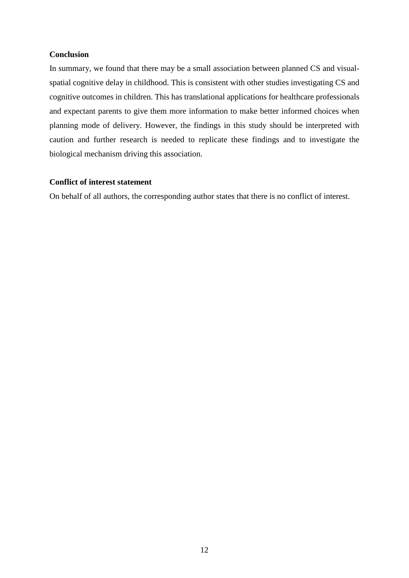#### **Conclusion**

In summary, we found that there may be a small association between planned CS and visualspatial cognitive delay in childhood. This is consistent with other studies investigating CS and cognitive outcomes in children. This has translational applications for healthcare professionals and expectant parents to give them more information to make better informed choices when planning mode of delivery. However, the findings in this study should be interpreted with caution and further research is needed to replicate these findings and to investigate the biological mechanism driving this association.

#### **Conflict of interest statement**

On behalf of all authors, the corresponding author states that there is no conflict of interest.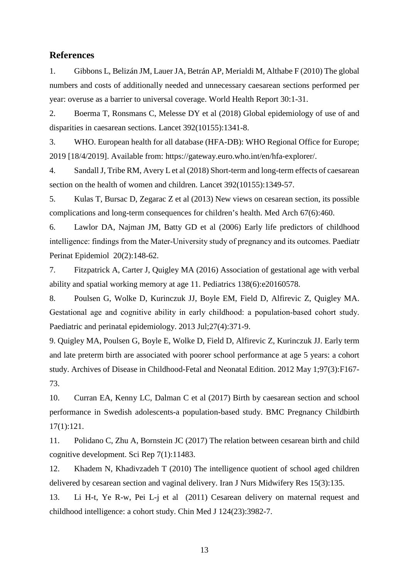#### **References**

1. Gibbons L, Belizán JM, Lauer JA, Betrán AP, Merialdi M, Althabe F (2010) The global numbers and costs of additionally needed and unnecessary caesarean sections performed per year: overuse as a barrier to universal coverage. World Health Report 30:1-31.

2. Boerma T, Ronsmans C, Melesse DY et al (2018) Global epidemiology of use of and disparities in caesarean sections. Lancet 392(10155):1341-8.

3. WHO. European health for all database (HFA-DB): WHO Regional Office for Europe; 2019 [18/4/2019]. Available from: https://gateway.euro.who.int/en/hfa-explorer/.

4. Sandall J, Tribe RM, Avery L et al (2018) Short-term and long-term effects of caesarean section on the health of women and children. Lancet 392(10155):1349-57.

5. Kulas T, Bursac D, Zegarac Z et al (2013) New views on cesarean section, its possible complications and long-term consequences for children's health. Med Arch 67(6):460.

6. Lawlor DA, Najman JM, Batty GD et al (2006) Early life predictors of childhood intelligence: findings from the Mater‐University study of pregnancy and its outcomes. Paediatr Perinat Epidemiol 20(2):148-62.

7. Fitzpatrick A, Carter J, Quigley MA (2016) Association of gestational age with verbal ability and spatial working memory at age 11. Pediatrics 138(6):e20160578.

8. Poulsen G, Wolke D, Kurinczuk JJ, Boyle EM, Field D, Alfirevic Z, Quigley MA. Gestational age and cognitive ability in early childhood: a population‐based cohort study. Paediatric and perinatal epidemiology. 2013 Jul;27(4):371-9.

9. Quigley MA, Poulsen G, Boyle E, Wolke D, Field D, Alfirevic Z, Kurinczuk JJ. Early term and late preterm birth are associated with poorer school performance at age 5 years: a cohort study. Archives of Disease in Childhood-Fetal and Neonatal Edition. 2012 May 1;97(3):F167- 73.

10. Curran EA, Kenny LC, Dalman C et al (2017) Birth by caesarean section and school performance in Swedish adolescents-a population-based study. BMC Pregnancy Childbirth 17(1):121.

11. Polidano C, Zhu A, Bornstein JC (2017) The relation between cesarean birth and child cognitive development. Sci Rep 7(1):11483.

12. Khadem N, Khadivzadeh T (2010) The intelligence quotient of school aged children delivered by cesarean section and vaginal delivery. Iran J Nurs Midwifery Res 15(3):135.

13. Li H-t, Ye R-w, Pei L-j et al (2011) Cesarean delivery on maternal request and childhood intelligence: a cohort study. Chin Med J 124(23):3982-7.

13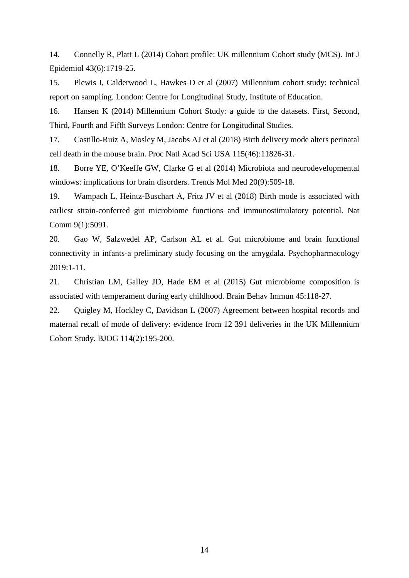14. Connelly R, Platt L (2014) Cohort profile: UK millennium Cohort study (MCS). Int J Epidemiol 43(6):1719-25.

15. Plewis I, Calderwood L, Hawkes D et al (2007) Millennium cohort study: technical report on sampling. London: Centre for Longitudinal Study, Institute of Education.

16. Hansen K (2014) Millennium Cohort Study: a guide to the datasets. First, Second, Third, Fourth and Fifth Surveys London: Centre for Longitudinal Studies.

17. Castillo-Ruiz A, Mosley M, Jacobs AJ et al (2018) Birth delivery mode alters perinatal cell death in the mouse brain. Proc Natl Acad Sci USA 115(46):11826-31.

18. Borre YE, O'Keeffe GW, Clarke G et al (2014) Microbiota and neurodevelopmental windows: implications for brain disorders. Trends Mol Med 20(9):509-18.

19. Wampach L, Heintz-Buschart A, Fritz JV et al (2018) Birth mode is associated with earliest strain-conferred gut microbiome functions and immunostimulatory potential. Nat Comm 9(1):5091.

20. Gao W, Salzwedel AP, Carlson AL et al. Gut microbiome and brain functional connectivity in infants-a preliminary study focusing on the amygdala. Psychopharmacology 2019:1-11.

21. Christian LM, Galley JD, Hade EM et al (2015) Gut microbiome composition is associated with temperament during early childhood. Brain Behav Immun 45:118-27.

22. Quigley M, Hockley C, Davidson L (2007) Agreement between hospital records and maternal recall of mode of delivery: evidence from 12 391 deliveries in the UK Millennium Cohort Study. BJOG 114(2):195-200.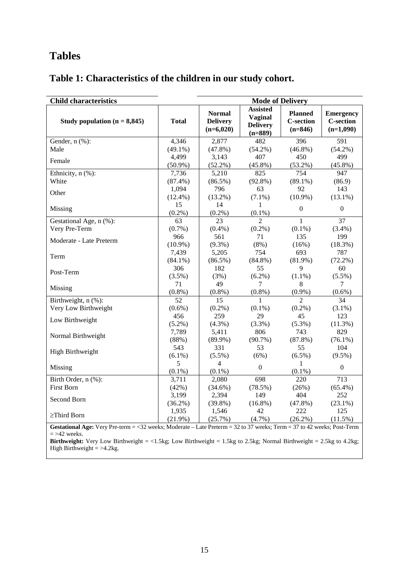# **Tables**

## **Table 1: Characteristics of the children in our study cohort.**

| <b>Child characteristics</b>                                                                                                                                                                                                                                                                                             | <b>Mode of Delivery</b> |                                                 |                                                                   |                                                 |                                                     |  |  |
|--------------------------------------------------------------------------------------------------------------------------------------------------------------------------------------------------------------------------------------------------------------------------------------------------------------------------|-------------------------|-------------------------------------------------|-------------------------------------------------------------------|-------------------------------------------------|-----------------------------------------------------|--|--|
| Study population $(n = 8,845)$                                                                                                                                                                                                                                                                                           | <b>Total</b>            | <b>Normal</b><br><b>Delivery</b><br>$(n=6,020)$ | <b>Assisted</b><br><b>Vaginal</b><br><b>Delivery</b><br>$(n=889)$ | <b>Planned</b><br><b>C-section</b><br>$(n=846)$ | <b>Emergency</b><br><b>C-section</b><br>$(n=1,090)$ |  |  |
| Gender, n (%):                                                                                                                                                                                                                                                                                                           | 4,346                   | 2,877                                           | 482                                                               | 396                                             | 591                                                 |  |  |
| Male                                                                                                                                                                                                                                                                                                                     | $(49.1\%)$              | $(47.8\%)$                                      | $(54.2\%)$                                                        | $(46.8\%)$                                      | $(54.2\%)$                                          |  |  |
| Female                                                                                                                                                                                                                                                                                                                   | 4,499<br>$(50.9\%)$     | 3,143<br>$(52.2\%)$                             | 407<br>$(45.8\%)$                                                 | 450<br>$(53.2\%)$                               | 499<br>$(45.8\%)$                                   |  |  |
| Ethnicity, n (%):                                                                                                                                                                                                                                                                                                        | 7,736                   | 5,210                                           | 825                                                               | 754                                             | 947                                                 |  |  |
| White                                                                                                                                                                                                                                                                                                                    | $(87.4\%)$              | $(86.5\%)$                                      | $(92.8\%)$                                                        | $(89.1\%)$                                      | (86.9)                                              |  |  |
|                                                                                                                                                                                                                                                                                                                          | 1,094                   | 796                                             | 63                                                                | 92                                              | 143                                                 |  |  |
| Other                                                                                                                                                                                                                                                                                                                    | $(12.4\%)$              | $(13.2\%)$                                      | $(7.1\%)$                                                         | $(10.9\%)$                                      | $(13.1\%)$                                          |  |  |
| Missing                                                                                                                                                                                                                                                                                                                  | 15<br>$(0.2\%)$         | 14<br>$(0.2\%)$                                 | 1<br>$(0.1\%)$                                                    | $\boldsymbol{0}$                                | $\boldsymbol{0}$                                    |  |  |
| Gestational Age, n (%):                                                                                                                                                                                                                                                                                                  | 63                      | 23                                              | $\overline{2}$                                                    | $\mathbf{1}$                                    | 37                                                  |  |  |
| Very Pre-Term                                                                                                                                                                                                                                                                                                            | $(0.7\%)$               | $(0.4\%)$                                       | $(0.2\%)$                                                         | $(0.1\%)$                                       | $(3.4\%)$                                           |  |  |
|                                                                                                                                                                                                                                                                                                                          | 966                     | 561                                             | 71                                                                | 135                                             | 199                                                 |  |  |
| Moderate - Late Preterm                                                                                                                                                                                                                                                                                                  | $(10.9\%)$              | $(9.3\%)$                                       | $(8\%)$                                                           | (16%)                                           | $(18.3\%)$                                          |  |  |
|                                                                                                                                                                                                                                                                                                                          | 7,439                   | 5,205                                           | 754                                                               | 693                                             | 787                                                 |  |  |
| Term                                                                                                                                                                                                                                                                                                                     | $(84.1\%)$              | $(86.5\%)$                                      | $(84.8\%)$                                                        | $(81.9\%)$                                      | $(72.2\%)$                                          |  |  |
|                                                                                                                                                                                                                                                                                                                          | 306                     | 182                                             | 55                                                                | 9                                               | 60                                                  |  |  |
| Post-Term                                                                                                                                                                                                                                                                                                                | $(3.5\%)$               | (3%)                                            | $(6.2\%)$                                                         | $(1.1\%)$                                       | $(5.5\%)$                                           |  |  |
| Missing                                                                                                                                                                                                                                                                                                                  | 71                      | 49                                              | 7                                                                 | 8                                               | 7                                                   |  |  |
|                                                                                                                                                                                                                                                                                                                          | $(0.8\%)$               | $(0.8\%)$                                       | $(0.8\%)$                                                         | $(0.9\%)$                                       | $(0.6\%)$                                           |  |  |
| Birthweight, n (%):                                                                                                                                                                                                                                                                                                      | 52                      | 15                                              | $\mathbf{1}$                                                      | $\overline{2}$                                  | 34                                                  |  |  |
| Very Low Birthweight                                                                                                                                                                                                                                                                                                     | $(0.6\%)$               | $(0.2\%)$                                       | $(0.1\%)$                                                         | $(0.2\%)$                                       | $(3.1\%)$                                           |  |  |
| Low Birthweight                                                                                                                                                                                                                                                                                                          | 456                     | 259                                             | 29                                                                | 45                                              | 123                                                 |  |  |
|                                                                                                                                                                                                                                                                                                                          | $(5.2\%)$               | $(4.3\%)$                                       | $(3.3\%)$                                                         | $(5.3\%)$                                       | $(11.3\%)$                                          |  |  |
| Normal Birthweight                                                                                                                                                                                                                                                                                                       | 7,789                   | 5,411                                           | 806                                                               | 743                                             | 829                                                 |  |  |
|                                                                                                                                                                                                                                                                                                                          | (88%)                   | $(89.9\%)$                                      | $(90.7\%)$                                                        | $(87.8\%)$                                      | $(76.1\%)$                                          |  |  |
| High Birthweight                                                                                                                                                                                                                                                                                                         | 543                     | 331                                             | 53                                                                | 55                                              | 104                                                 |  |  |
|                                                                                                                                                                                                                                                                                                                          | $(6.1\%)$               | $(5.5\%)$                                       | (6%)                                                              | $(6.5\%)$                                       | $(9.5\%)$                                           |  |  |
| Missing                                                                                                                                                                                                                                                                                                                  | 5<br>$(0.1\%)$          | $\overline{4}$<br>$(0.1\%)$                     | $\boldsymbol{0}$                                                  | 1<br>$(0.1\%)$                                  | $\boldsymbol{0}$                                    |  |  |
| Birth Order, n (%):                                                                                                                                                                                                                                                                                                      | 3,711                   | 2,080                                           | 698                                                               | 220                                             | 713                                                 |  |  |
| <b>First Born</b>                                                                                                                                                                                                                                                                                                        | (42%)                   | $(34.6\%)$                                      | $(78.5\%)$                                                        | (26%)                                           | $(65.4\%)$                                          |  |  |
|                                                                                                                                                                                                                                                                                                                          | 3,199                   | 2,394                                           | 149                                                               | 404                                             | 252                                                 |  |  |
| Second Born                                                                                                                                                                                                                                                                                                              | $(36.2\%)$              | $(39.8\%)$                                      | $(16.8\%)$                                                        | (47.8%)                                         | $(23.1\%)$                                          |  |  |
|                                                                                                                                                                                                                                                                                                                          | 1,935                   | 1,546                                           | 42                                                                | 222                                             | 125                                                 |  |  |
| $\geq$ Third Born                                                                                                                                                                                                                                                                                                        | $(21.9\%)$              | (25.7%)                                         | $(4.7\%)$                                                         | $(26.2\%)$                                      | $(11.5\%)$                                          |  |  |
| Gestational Age: Very Pre-term = <32 weeks; Moderate - Late Preterm = 32 to 37 weeks; Term = 37 to 42 weeks; Post-Term<br>$=$ >42 weeks.<br><b>Birthweight:</b> Very Low Birthweight = $\langle 1.5kg;$ Low Birthweight = $1.5kg$ to $2.5kg$ ; Normal Birthweight = $2.5kg$ to $4.2kg$ ;<br>High Birthweight $=$ >4.2kg. |                         |                                                 |                                                                   |                                                 |                                                     |  |  |
|                                                                                                                                                                                                                                                                                                                          |                         |                                                 |                                                                   |                                                 |                                                     |  |  |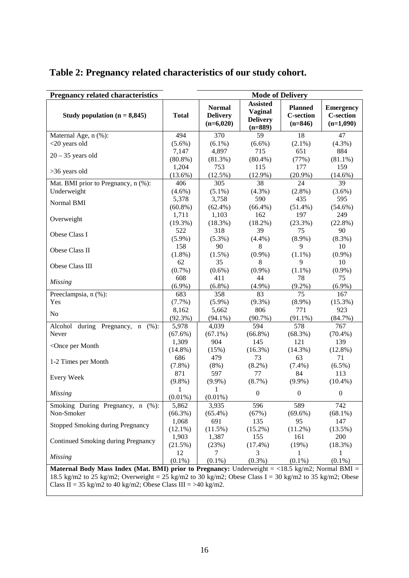| <b>Pregnancy related characteristics</b>                                                               |                     | <b>Mode of Delivery</b>                         |                                                                   |                                                 |                                                     |  |  |  |
|--------------------------------------------------------------------------------------------------------|---------------------|-------------------------------------------------|-------------------------------------------------------------------|-------------------------------------------------|-----------------------------------------------------|--|--|--|
| Study population $(n = 8,845)$                                                                         | <b>Total</b>        | <b>Normal</b><br><b>Delivery</b><br>$(n=6,020)$ | <b>Assisted</b><br><b>Vaginal</b><br><b>Delivery</b><br>$(n=889)$ | <b>Planned</b><br><b>C-section</b><br>$(n=846)$ | <b>Emergency</b><br><b>C-section</b><br>$(n=1,090)$ |  |  |  |
| Maternal Age, n (%):                                                                                   | 494                 | 370                                             | 59                                                                | 18                                              | 47                                                  |  |  |  |
| <20 years old                                                                                          | $(5.6\%)$           | $(6.1\%)$                                       | $(6.6\%)$                                                         | $(2.1\%)$                                       | $(4.3\%)$                                           |  |  |  |
| $20 - 35$ years old                                                                                    | 7,147               | 4,897                                           | 715                                                               | 651                                             | 884                                                 |  |  |  |
|                                                                                                        | $(80.8\%)$          | $(81.3\%)$                                      | $(80.4\%)$                                                        | (77%)                                           | $(81.1\%)$                                          |  |  |  |
| >36 years old                                                                                          | 1,204               | 753                                             | 115                                                               | 177                                             | 159                                                 |  |  |  |
|                                                                                                        | $(13.6\%)$          | $(12.5\%)$                                      | $(12.9\%)$                                                        | $(20.9\%)$                                      | $(14.6\%)$                                          |  |  |  |
| Mat. BMI prior to Pregnancy, n (%):                                                                    | 406                 | 305                                             | 38                                                                | 24                                              | 39                                                  |  |  |  |
| Underweight                                                                                            | $(4.6\%)$           | $(5.1\%)$                                       | $(4.3\%)$                                                         | $(2.8\%)$                                       | $(3.6\%)$                                           |  |  |  |
| Normal BMI                                                                                             | 5,378               | 3,758                                           | 590                                                               | 435                                             | 595                                                 |  |  |  |
|                                                                                                        | $(60.8\%)$          | $(62.4\%)$                                      | $(66.4\%)$                                                        | $(51.4\%)$                                      | $(54.6\%)$                                          |  |  |  |
| Overweight                                                                                             | 1,711               | 1,103                                           | 162                                                               | 197                                             | 249                                                 |  |  |  |
|                                                                                                        | $(19.3\%)$          | (18.3%)                                         | $(18.2\%)$                                                        | (23.3%)                                         | (22.8%)                                             |  |  |  |
| Obese Class I                                                                                          | 522<br>$(5.9\%)$    | 318<br>$(5.3\%)$                                | 39<br>(4.4%)                                                      | 75                                              | 90                                                  |  |  |  |
|                                                                                                        | 158                 | 90                                              | 8                                                                 | $(8.9\%)$<br>9                                  | $(8.3\%)$<br>10                                     |  |  |  |
| Obese Class II                                                                                         | $(1.8\%)$           | $(1.5\%)$                                       | $(0.9\%)$                                                         | $(1.1\%)$                                       | $(0.9\%)$                                           |  |  |  |
|                                                                                                        | 62                  | 35                                              | 8                                                                 | 9                                               | 10                                                  |  |  |  |
| Obese Class III                                                                                        | $(0.7\%)$           | $(0.6\%)$                                       | $(0.9\%)$                                                         | $(1.1\%)$                                       | $(0.9\%)$                                           |  |  |  |
|                                                                                                        | 608                 | 411                                             | 44                                                                | 78                                              | 75                                                  |  |  |  |
| <b>Missing</b>                                                                                         | $(6.9\%)$           | $(6.8\%)$                                       | $(4.9\%)$                                                         | $(9.2\%)$                                       | $(6.9\%)$                                           |  |  |  |
| Preeclampsia, n (%):                                                                                   | 683                 | 358                                             | 83                                                                | 75                                              | 167                                                 |  |  |  |
| Yes                                                                                                    | (7.7%)              | $(5.9\%)$                                       | $(9.3\%)$                                                         | $(8.9\%)$                                       | $(15.3\%)$                                          |  |  |  |
|                                                                                                        | 8,162               | 5,662                                           | 806                                                               | 771                                             | 923                                                 |  |  |  |
| N <sub>o</sub>                                                                                         | $(92.3\%)$          | $(94.1\%)$                                      | $(90.7\%)$                                                        | $(91.1\%)$                                      | (84.7%)                                             |  |  |  |
| Alcohol during Pregnancy, n<br>(%):                                                                    | 5,978               | 4,039                                           | 594                                                               | 578                                             | 767                                                 |  |  |  |
| Never                                                                                                  | $(67.6\%)$          | $(67.1\%)$                                      | $(66.8\%)$                                                        | $(68.3\%)$                                      | $(70.4\%)$                                          |  |  |  |
| <once month<="" per="" td=""><td>1,309</td><td>904</td><td>145</td><td>121</td><td>139</td></once>     | 1,309               | 904                                             | 145                                                               | 121                                             | 139                                                 |  |  |  |
|                                                                                                        | $(14.8\%)$          | (15%)                                           | $(16.3\%)$                                                        | $(14.3\%)$                                      | $(12.8\%)$                                          |  |  |  |
| 1-2 Times per Month                                                                                    | 686                 | 479                                             | 73                                                                | 63                                              | 71                                                  |  |  |  |
|                                                                                                        | $(7.8\%)$           | $(8\%)$                                         | $(8.2\%)$                                                         | $(7.4\%)$                                       | $(6.5\%)$                                           |  |  |  |
| <b>Every Week</b>                                                                                      | 871                 | 597                                             | 77                                                                | 84                                              | 113                                                 |  |  |  |
|                                                                                                        | $(9.8\%)$           | $(9.9\%)$                                       | $(8.7\%)$                                                         | $(9.9\%)$                                       | $(10.4\%)$                                          |  |  |  |
| <b>Missing</b>                                                                                         | 1                   | 1                                               | $\boldsymbol{0}$                                                  | $\boldsymbol{0}$                                | $\boldsymbol{0}$                                    |  |  |  |
|                                                                                                        | $(0.01\%)$          | $(0.01\%)$                                      |                                                                   |                                                 |                                                     |  |  |  |
| Smoking During Pregnancy, n (%):                                                                       | 5,862               | 3,935                                           | 596                                                               | 589                                             | 742                                                 |  |  |  |
| Non-Smoker                                                                                             | $(66.3\%)$<br>1,068 | $(65.4\%)$<br>691                               | (67%)<br>135                                                      | $(69.6\%)$<br>95                                | $(68.1\%)$<br>147                                   |  |  |  |
| <b>Stopped Smoking during Pregnancy</b>                                                                | $(12.1\%)$          | (11.5%)                                         | $(15.2\%)$                                                        | $(11.2\%)$                                      | (13.5%)                                             |  |  |  |
|                                                                                                        | 1,903               | 1,387                                           | 155                                                               | 161                                             | 200                                                 |  |  |  |
| Continued Smoking during Pregnancy                                                                     | (21.5%)             | (23%)                                           | $(17.4\%)$                                                        | (19%)                                           | (18.3%)                                             |  |  |  |
|                                                                                                        | 12                  | 7                                               | 3                                                                 |                                                 | 1                                                   |  |  |  |
| <b>Missing</b>                                                                                         | $(0.1\%)$           | $(0.1\%)$                                       | $(0.3\%)$                                                         | $(0.1\%)$                                       | $(0.1\%)$                                           |  |  |  |
| <b>Maternal Body Mass Index (Mat. BMI) prior to Pregnancy:</b> Underweight = <18.5 kg/m2; Normal BMI = |                     |                                                 |                                                                   |                                                 |                                                     |  |  |  |
| 18.5 kg/m2 to 25 kg/m2; Overweight = 25 kg/m2 to 30 kg/m2; Obese Class I = 30 kg/m2 to 35 kg/m2; Obese |                     |                                                 |                                                                   |                                                 |                                                     |  |  |  |
| Class II = 35 kg/m2 to 40 kg/m2; Obese Class III = >40 kg/m2.                                          |                     |                                                 |                                                                   |                                                 |                                                     |  |  |  |

## **Table 2: Pregnancy related characteristics of our study cohort.**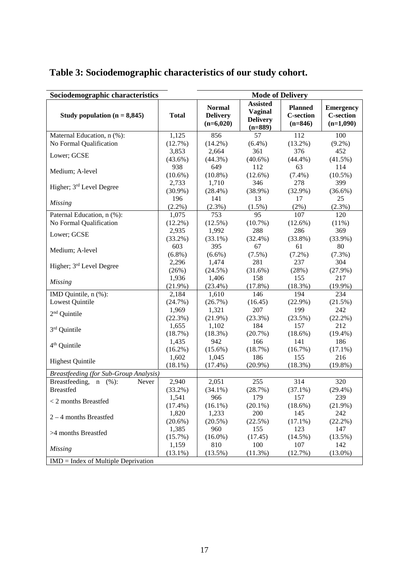| Sociodemographic characteristics              |              | <b>Mode of Delivery</b>                         |                                                                   |                                                 |                                                     |  |  |  |
|-----------------------------------------------|--------------|-------------------------------------------------|-------------------------------------------------------------------|-------------------------------------------------|-----------------------------------------------------|--|--|--|
| Study population $(n = 8,845)$                | <b>Total</b> | <b>Normal</b><br><b>Delivery</b><br>$(n=6,020)$ | <b>Assisted</b><br><b>Vaginal</b><br><b>Delivery</b><br>$(n=889)$ | <b>Planned</b><br><b>C-section</b><br>$(n=846)$ | <b>Emergency</b><br><b>C-section</b><br>$(n=1,090)$ |  |  |  |
| Maternal Education, n (%):                    | 1,125        | 856                                             | 57                                                                | 112                                             | 100                                                 |  |  |  |
| No Formal Qualification                       | (12.7%)      | $(14.2\%)$                                      | $(6.4\%)$                                                         | $(13.2\%)$                                      | $(9.2\%)$                                           |  |  |  |
| Lower; GCSE                                   | 3,853        | 2,664                                           | 361                                                               | 376                                             | 452                                                 |  |  |  |
|                                               | $(43.6\%)$   | $(44.3\%)$                                      | $(40.6\%)$                                                        | $(44.4\%)$                                      | $(41.5\%)$                                          |  |  |  |
| Medium; A-level                               | 938          | 649                                             | 112                                                               | 63                                              | 114                                                 |  |  |  |
|                                               | $(10.6\%)$   | $(10.8\%)$                                      | $(12.6\%)$                                                        | $(7.4\%)$                                       | $(10.5\%)$                                          |  |  |  |
| Higher; 3 <sup>rd</sup> Level Degree          | 2,733        | 1,710                                           | 346                                                               | 278                                             | 399                                                 |  |  |  |
|                                               | $(30.9\%)$   | $(28.4\%)$                                      | $(38.9\%)$                                                        | $(32.9\%)$                                      | $(36.6\%)$                                          |  |  |  |
| <b>Missing</b>                                | 196          | 141                                             | 13                                                                | 17                                              | 25                                                  |  |  |  |
|                                               | $(2.2\%)$    | $(2.3\%)$                                       | $(1.5\%)$                                                         | $(2\%)$                                         | $(2.3\%)$                                           |  |  |  |
| Paternal Education, n (%):                    | 1,075        | 753                                             | 95                                                                | 107                                             | 120                                                 |  |  |  |
| No Formal Qualification                       | $(12.2\%)$   | $(12.5\%)$                                      | $(10.7\%)$                                                        | $(12.6\%)$                                      | $(11\%)$                                            |  |  |  |
| Lower; GCSE                                   | 2,935        | 1,992                                           | 288                                                               | 286                                             | 369                                                 |  |  |  |
|                                               | $(33.2\%)$   | $(33.1\%)$                                      | $(32.4\%)$                                                        | $(33.8\%)$                                      | $(33.9\%)$                                          |  |  |  |
| Medium; A-level                               | 603          | 395                                             | 67                                                                | 61                                              | 80                                                  |  |  |  |
|                                               | $(6.8\%)$    | $(6.6\%)$                                       | $(7.5\%)$                                                         | $(7.2\%)$                                       | $(7.3\%)$                                           |  |  |  |
| Higher; 3 <sup>rd</sup> Level Degree          | 2,296        | 1,474                                           | 281                                                               | 237                                             | 304                                                 |  |  |  |
|                                               | (26%)        | $(24.5\%)$                                      | $(31.6\%)$                                                        | (28%)                                           | $(27.9\%)$                                          |  |  |  |
| <b>Missing</b>                                | 1,936        | 1,406                                           | 158                                                               | 155                                             | 217                                                 |  |  |  |
|                                               | $(21.9\%)$   | $(23.4\%)$                                      | (17.8%)                                                           | (18.3%)                                         | $(19.9\%)$                                          |  |  |  |
| IMD Quintile, n (%):                          | 2,184        | 1,610                                           | 146                                                               | 194                                             | 234                                                 |  |  |  |
| Lowest Quintile                               | (24.7%)      | (26.7%)                                         | (16.45)                                                           | $(22.9\%)$                                      | (21.5%)                                             |  |  |  |
| 2 <sup>nd</sup> Quintile                      | 1,969        | 1,321                                           | 207                                                               | 199                                             | 242                                                 |  |  |  |
|                                               | (22.3%)      | (21.9%)                                         | (23.3%)                                                           | (23.5%)                                         | $(22.2\%)$                                          |  |  |  |
| 3rd Quintile                                  | 1,655        | 1,102                                           | 184                                                               | 157                                             | 212                                                 |  |  |  |
|                                               | (18.7%)      | (18.3%)                                         | (20.7%)                                                           | (18.6%)                                         | $(19.4\%)$                                          |  |  |  |
| 4 <sup>th</sup> Quintile                      | 1,435        | 942                                             | 166                                                               | 141                                             | 186                                                 |  |  |  |
|                                               | $(16.2\%)$   | $(15.6\%)$                                      | (18.7%)                                                           | (16.7%)                                         | $(17.1\%)$                                          |  |  |  |
| <b>Highest Quintile</b>                       | 1,602        | 1,045                                           | 186                                                               | 155                                             | 216                                                 |  |  |  |
|                                               | $(18.1\%)$   | $(17.4\%)$                                      | $(20.9\%)$                                                        | (18.3%)                                         | $(19.8\%)$                                          |  |  |  |
| <b>Breastfeeding (for Sub-Group Analysis)</b> |              |                                                 |                                                                   |                                                 |                                                     |  |  |  |
| Breastfeeding,<br>(%):<br>Never<br>n          | 2,940        | 2,051                                           | 255                                                               | $\overline{314}$                                | 320                                                 |  |  |  |
| <b>Breastfed</b>                              | $(33.2\%)$   | $(34.1\%)$                                      | (28.7%)                                                           | $(37.1\%)$                                      | $(29.4\%)$                                          |  |  |  |
| $<$ 2 months Breastfed                        | 1,541        | 966                                             | 179                                                               | 157                                             | 239                                                 |  |  |  |
|                                               | $(17.4\%)$   | $(16.1\%)$                                      | $(20.1\%)$                                                        | $(18.6\%)$                                      | $(21.9\%)$                                          |  |  |  |
| $2 - 4$ months Breastfed                      | 1,820        | 1,233                                           | 200                                                               | 145                                             | 242                                                 |  |  |  |
|                                               | $(20.6\%)$   | $(20.5\%)$                                      | (22.5%)                                                           | $(17.1\%)$                                      | $(22.2\%)$                                          |  |  |  |
| >4 months Breastfed                           | 1,385        | 960                                             | 155                                                               | 123                                             | 147                                                 |  |  |  |
|                                               | $(15.7\%)$   | $(16.0\%)$                                      | (17.45)                                                           | $(14.5\%)$                                      | $(13.5\%)$                                          |  |  |  |
| <b>Missing</b>                                | 1,159        | 810                                             | 100                                                               | 107                                             | 142                                                 |  |  |  |
|                                               | $(13.1\%)$   | (13.5%)                                         | (11.3%)                                                           | (12.7%)                                         | $(13.0\%)$                                          |  |  |  |
| $IMD = Index of Multiple Deprivation$         |              |                                                 |                                                                   |                                                 |                                                     |  |  |  |

# **Table 3: Sociodemographic characteristics of our study cohort.**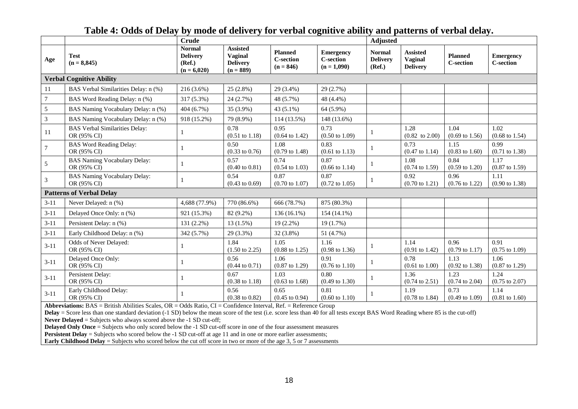|                                 |                                                      | <b>Crude</b>                                                |                                                              |                                                   |                                                       | <b>Adjusted</b>                            |                                               |                                    |                                      |
|---------------------------------|------------------------------------------------------|-------------------------------------------------------------|--------------------------------------------------------------|---------------------------------------------------|-------------------------------------------------------|--------------------------------------------|-----------------------------------------------|------------------------------------|--------------------------------------|
| Age                             | <b>Test</b><br>$(n = 8,845)$                         | <b>Normal</b><br><b>Delivery</b><br>(Ref.)<br>$(n = 6,020)$ | <b>Assisted</b><br>Vaginal<br><b>Delivery</b><br>$(n = 889)$ | <b>Planned</b><br><b>C-section</b><br>$(n = 846)$ | <b>Emergency</b><br><b>C-section</b><br>$(n = 1,090)$ | <b>Normal</b><br><b>Delivery</b><br>(Ref.) | <b>Assisted</b><br>Vaginal<br><b>Delivery</b> | <b>Planned</b><br><b>C-section</b> | <b>Emergency</b><br><b>C-section</b> |
| <b>Verbal Cognitive Ability</b> |                                                      |                                                             |                                                              |                                                   |                                                       |                                            |                                               |                                    |                                      |
| 11                              | BAS Verbal Similarities Delay: n (%)                 | $216(3.6\%)$                                                | 25 (2.8%)                                                    | 29 (3.4%)                                         | 29 (2.7%)                                             |                                            |                                               |                                    |                                      |
| $\tau$                          | BAS Word Reading Delay: n (%)                        | 317 (5.3%)                                                  | 24 (2.7%)                                                    | 48 (5.7%)                                         | 48 (4.4%)                                             |                                            |                                               |                                    |                                      |
| 5                               | BAS Naming Vocabulary Delay: n (%)                   | $404(6.7\%)$                                                | 35 (3.9%)                                                    | $43(5.1\%)$                                       | 64 (5.9%)                                             |                                            |                                               |                                    |                                      |
| $\mathfrak{Z}$                  | BAS Naming Vocabulary Delay: n (%)                   | 918 (15.2%)                                                 | 79 (8.9%)                                                    | 114 (13.5%)                                       | 148 (13.6%)                                           |                                            |                                               |                                    |                                      |
| 11                              | <b>BAS</b> Verbal Similarities Delay:<br>OR (95% CI) |                                                             | 0.78<br>$(0.51 \text{ to } 1.18)$                            | 0.95<br>$(0.64 \text{ to } 1.42)$                 | 0.73<br>$(0.50 \text{ to } 1.09)$                     |                                            | 1.28<br>$(0.82 \text{ to } 2.00)$             | 1.04<br>$(0.69 \text{ to } 1.56)$  | 1.02<br>$(0.68 \text{ to } 1.54)$    |
| 7                               | <b>BAS Word Reading Delay:</b><br>OR (95% CI)        | 1                                                           | 0.50<br>$(0.33 \text{ to } 0.76)$                            | 1.08<br>$(0.79 \text{ to } 1.48)$                 | 0.83<br>$(0.61 \text{ to } 1.13)$                     |                                            | 0.73<br>$(0.47 \text{ to } 1.14)$             | 1.15<br>$(0.83 \text{ to } 1.60)$  | 0.99<br>$(0.71 \text{ to } 1.38)$    |
| 5                               | <b>BAS Naming Vocabulary Delay:</b><br>OR (95% CI)   | 1                                                           | 0.57<br>$(0.40 \text{ to } 0.81)$                            | 0.74<br>$(0.54 \text{ to } 1.03)$                 | 0.87<br>$(0.66 \text{ to } 1.14)$                     |                                            | 1.08<br>$(0.74 \text{ to } 1.59)$             | 0.84<br>$(0.59 \text{ to } 1.20)$  | 1.17<br>$(0.87 \text{ to } 1.59)$    |
| 3                               | <b>BAS Naming Vocabulary Delay:</b><br>OR (95% CI)   |                                                             | 0.54<br>$(0.43 \text{ to } 0.69)$                            | 0.87<br>$(0.70 \text{ to } 1.07)$                 | 0.87<br>$(0.72 \text{ to } 1.05)$                     |                                            | 0.92<br>$(0.70 \text{ to } 1.21)$             | 0.96<br>$(0.76 \text{ to } 1.22)$  | 1.11<br>$(0.90 \text{ to } 1.38)$    |
|                                 | <b>Patterns of Verbal Delay</b>                      |                                                             |                                                              |                                                   |                                                       |                                            |                                               |                                    |                                      |
| $3-11$                          | Never Delayed: n (%)                                 | 4,688 (77.9%)                                               | 770 (86.6%)                                                  | 666 (78.7%)                                       | 875 (80.3%)                                           |                                            |                                               |                                    |                                      |
| $3 - 11$                        | Delayed Once Only: n (%)                             | 921 (15.3%)                                                 | 82 (9.2%)                                                    | 136 (16.1%)                                       | 154 (14.1%)                                           |                                            |                                               |                                    |                                      |
| $3-11$                          | Persistent Delay: n (%)                              | 131 (2.2%)                                                  | $13(1.5\%)$                                                  | $19(2.2\%)$                                       | 19(1.7%)                                              |                                            |                                               |                                    |                                      |
| $3 - 11$                        | Early Childhood Delay: n (%)                         | 342 (5.7%)                                                  | 29 (3.3%)                                                    | 32 (3.8%)                                         | 51 (4.7%)                                             |                                            |                                               |                                    |                                      |
| $3-11$                          | Odds of Never Delayed:<br>OR (95% CI)                |                                                             | 1.84<br>$(1.50 \text{ to } 2.25)$                            | 1.05<br>$(0.88 \text{ to } 1.25)$                 | 1.16<br>$(0.98 \text{ to } 1.36)$                     |                                            | 1.14<br>$(0.91 \text{ to } 1.42)$             | 0.96<br>$(0.79 \text{ to } 1.17)$  | 0.91<br>$(0.75 \text{ to } 1.09)$    |
| $3-11$                          | Delayed Once Only:<br>OR (95% CI)                    |                                                             | 0.56<br>$(0.44 \text{ to } 0.71)$                            | 1.06<br>$(0.87 \text{ to } 1.29)$                 | 0.91<br>$(0.76 \text{ to } 1.10)$                     |                                            | 0.78<br>$(0.61 \text{ to } 1.00)$             | 1.13<br>$(0.92 \text{ to } 1.38)$  | 1.06<br>$(0.87 \text{ to } 1.29)$    |
| $3-11$                          | Persistent Delay:<br>OR (95% CI)                     | 1                                                           | 0.67<br>$(0.38 \text{ to } 1.18)$                            | 1.03<br>$(0.63 \text{ to } 1.68)$                 | 0.80<br>$(0.49 \text{ to } 1.30)$                     |                                            | 1.36<br>$(0.74 \text{ to } 2.51)$             | 1.23<br>$(0.74 \text{ to } 2.04)$  | 1.24<br>$(0.75 \text{ to } 2.07)$    |
| $3-11$                          | Early Childhood Delay:<br>OR (95% CI)                | 1                                                           | 0.56<br>$(0.38 \text{ to } 0.82)$                            | 0.65<br>$(0.45 \text{ to } 0.94)$                 | 0.81<br>$(0.60 \text{ to } 1.10)$                     |                                            | 1.19<br>$(0.78 \text{ to } 1.84)$             | 0.73<br>$(0.49 \text{ to } 1.09)$  | 1.14<br>$(0.81 \text{ to } 1.60)$    |

**Table 4: Odds of Delay by mode of delivery for verbal cognitive ability and patterns of verbal delay.**

**Abbreviations:** BAS = British Abilities Scales, OR = Odds Ratio, CI = Confidence Interval, Ref. = Reference Group

**Delay** = Score less than one standard deviation (-1 SD) below the mean score of the test (i.e. score less than 40 for all tests except BAS Word Reading where 85 is the cut-off)

**Never Delayed** = Subjects who always scored above the -1 SD cut-off;

**Delayed Only Once** = Subjects who only scored below the -1 SD cut-off score in one of the four assessment measures

**Persistent Delay** = Subjects who scored below the -1 SD cut-off at age 11 and in one or more earlier assessments;

**Early Childhood Delay** = Subjects who scored below the cut off score in two or more of the age 3, 5 or 7 assessments